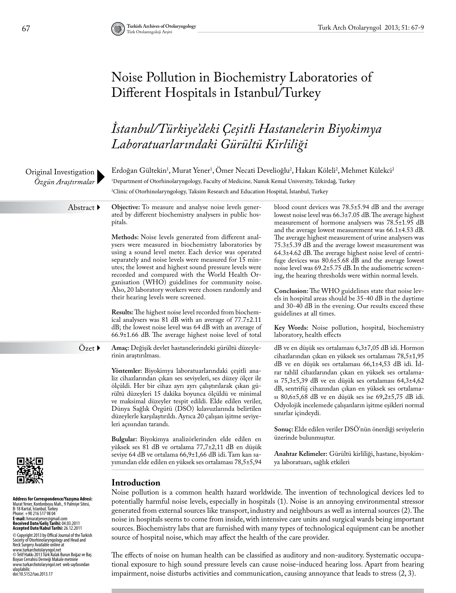# Noise Pollution in Biochemistry Laboratories of Different Hospitals in Istanbul/Turkey

# *İstanbul/Türkiye'deki Çeşitli Hastanelerin Biyokimya Laboratuarlarındaki Gürültü Kirliliği*

| Original Investigation<br>Özgün Araştırmalar                                                                                                                                                                                                                                                                                                                                                                                                                                                                                                                                                                                                                    | Erdoğan Gültekin <sup>1</sup> , Murat Yener <sup>1</sup> , Ömer Necati Develioğlu <sup>2</sup> , Hakan Köleli <sup>2</sup> , Mehmet Külekci <sup>2</sup><br><sup>1</sup> Department of Otorhinolaryngology, Faculty of Medicine, Namık Kemal University, Tekirdağ, Turkey<br><sup>2</sup> Clinic of Otorhinolaryngology, Taksim Research and Education Hospital, İstanbul, Turkey                                                                                                                                                                                                                                                                                                                                                                                                                                                                                                                                                                                                           |                                                                                                                                                                                                                                                                                                                                                                                                                                                                                                                                                                                                                                                                                                                                                                                                                                                                                      |  |  |  |  |
|-----------------------------------------------------------------------------------------------------------------------------------------------------------------------------------------------------------------------------------------------------------------------------------------------------------------------------------------------------------------------------------------------------------------------------------------------------------------------------------------------------------------------------------------------------------------------------------------------------------------------------------------------------------------|---------------------------------------------------------------------------------------------------------------------------------------------------------------------------------------------------------------------------------------------------------------------------------------------------------------------------------------------------------------------------------------------------------------------------------------------------------------------------------------------------------------------------------------------------------------------------------------------------------------------------------------------------------------------------------------------------------------------------------------------------------------------------------------------------------------------------------------------------------------------------------------------------------------------------------------------------------------------------------------------|--------------------------------------------------------------------------------------------------------------------------------------------------------------------------------------------------------------------------------------------------------------------------------------------------------------------------------------------------------------------------------------------------------------------------------------------------------------------------------------------------------------------------------------------------------------------------------------------------------------------------------------------------------------------------------------------------------------------------------------------------------------------------------------------------------------------------------------------------------------------------------------|--|--|--|--|
| Abstract ▶                                                                                                                                                                                                                                                                                                                                                                                                                                                                                                                                                                                                                                                      | Objective: To measure and analyse noise levels gener-<br>ated by different biochemistry analysers in public hos-<br>pitals.<br>Methods: Noise levels generated from different anal-<br>ysers were measured in biochemistry laboratories by<br>using a sound level meter. Each device was operated<br>separately and noise levels were measured for 15 min-<br>utes; the lowest and highest sound pressure levels were<br>recorded and compared with the World Health Or-<br>ganisation (WHO) guidelines for community noise.<br>Also, 20 laboratory workers were chosen randomly and<br>their hearing levels were screened.<br>Results: The highest noise level recorded from biochem-<br>ical analysers was 81 dB with an average of 77.7±2.11<br>dB; the lowest noise level was 64 dB with an average of<br>66.9±1.66 dB. The average highest noise level of total                                                                                                                        | blood count devices was 78.5±5.94 dB and the average<br>lowest noise level was 66.3±7.05 dB. The average highest<br>measurement of hormone analysers was 78.5±1.95 dB<br>and the average lowest measurement was 66.1±4.53 dB.<br>The average highest measurement of urine analysers was<br>75.3±5.39 dB and the average lowest measurement was<br>64.3±4.62 dB. The average highest noise level of centri-<br>fuge devices was 80.6±5.68 dB and the average lowest<br>noise level was 69.2±5.75 dB. In the audiometric screen-<br>ing, the hearing thresholds were within normal levels.<br>Conclusion: The WHO guidelines state that noise lev-<br>els in hospital areas should be 35-40 dB in the daytime<br>and 30-40 dB in the evening. Our results exceed these<br>guidelines at all times.<br>Key Words: Noise pollution, hospital, biochemistry<br>laboratory, health effects |  |  |  |  |
| Özet ▶                                                                                                                                                                                                                                                                                                                                                                                                                                                                                                                                                                                                                                                          | Amaç: Değişik devlet hastanelerindeki gürültü düzeyle-<br>rinin araştırılması.<br>Yöntemler: Biyokimya laboratuarlarındaki çeşitli ana-<br>liz cihazlarından çıkan ses seviyeleri, ses düzey ölçer ile<br>ölçüldi. Her bir cihaz ayrı ayrı çalıştırılarak çıkan gü-<br>rültü düzeyleri 15 dakika boyunca ölçüldü ve minimal<br>ve maksimal düzeyler tespit edildi. Elde edilen veriler,<br>Dünya Sağlık Orgütü (DSO) kılavuzlarında belirtilen<br>düzeylerle karşılaştırıldı. Ayrıca 20 çalışan işitme seviye-<br>leri açısından tarandı.<br>Bulgular: Biyokimya analizörlerinden elde edilen en<br>yüksek ses 81 dB ve ortalama 77,7±2,11 dB en düşük<br>seviye 64 dB ve ortalama 66,9±1,66 dB idi. Tam kan sa-<br>yımından elde edilen en yüksek ses ortalaması 78,5±5,94                                                                                                                                                                                                                 | dB ve en düşük ses ortalaması 6,3±7,05 dB idi. Hormon<br>cihazlarından çıkan en yüksek ses ortalaması 78,5±1,95<br>dB ve en düşük ses ortalaması 66,1±4,53 dB idi. İd-<br>rar tahlil cihazlarından çıkan en yüksek ses ortalama-<br>sı 75,3±5,39 dB ve en düşük ses ortalaması 64,3±4,62<br>dB, sentrifüj cihazından çıkan en yüksek ses ortalama-<br>sı 80,6±5,68 dB ve en düşük ses ise 69,2±5,75 dB idi.<br>Odyolojik incelemede çalışanların işitme eşikleri normal<br>sınırlar içindeydi.<br>Sonuç: Elde edilen veriler DSÖ'nün önerdiği seviyelerin<br>üzerinde bulunmuştur.<br>Anahtar Kelimeler: Gürültü kirliliği, hastane, biyokim-<br>ya laboratuarı, sağlık etkileri                                                                                                                                                                                                     |  |  |  |  |
| Address for Correspondence/Yazışma Adresi:<br>Murat Yener, Kordonboyu Mah., 9 Palmiye Sitesi,<br>B-18 Kartal, Istanbul, Turkey<br>Phone: +90 216 517 98 04<br><b>E-mail:</b> hmuratyener@gmail.com<br>Received Date/Geliş Tarihi: 04.03.2011<br><b>Accepted Date/Kabul Tarihi:</b> 26.12.2011<br>C Copyright 2013 by Offical Journal of the Turkish<br>Society of Otorhinolaryngology and Head and<br>Neck Surgery Available online at<br>www.turkarchotolaryngol.net<br>© Telif Hakkı 2013 Türk Kulak Burun Boğaz ve Baş<br>Boyun Cerrahisi Derneği Makale metnine<br>www.turkarchotolaryngol.net  web sayfasından<br>ulaşılabilir.<br>doi:10.5152/tao.2013.17 | Introduction<br>Noise pollution is a common health hazard worldwide. The invention of technological devices led to<br>potentially harmful noise levels, especially in hospitals (1). Noise is an annoying environmental stressor<br>generated from external sources like transport, industry and neighbours as well as internal sources (2). The<br>noise in hospitals seems to come from inside, with intensive care units and surgical wards being important<br>sources. Biochemistry labs that are furnished with many types of technological equipment can be another<br>source of hospital noise, which may affect the health of the care provider.<br>The effects of noise on human health can be classified as auditory and non-auditory. Systematic occupa-<br>tional exposure to high sound pressure levels can cause noise-induced hearing loss. Apart from hearing<br>impairment, noise disturbs activities and communication, causing annoyance that leads to stress $(2, 3)$ . |                                                                                                                                                                                                                                                                                                                                                                                                                                                                                                                                                                                                                                                                                                                                                                                                                                                                                      |  |  |  |  |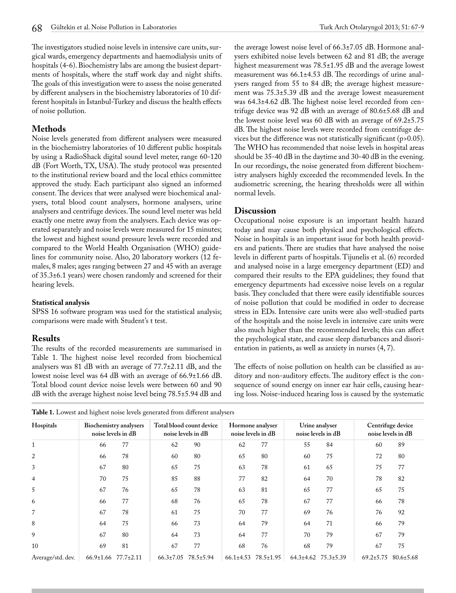The investigators studied noise levels in intensive care units, surgical wards, emergency departments and haemodialysis units of hospitals (4-6). Biochemistry labs are among the busiest departments of hospitals, where the staff work day and night shifts. The goals of this investigation were to assess the noise generated by different analysers in the biochemistry laboratories of 10 different hospitals in Istanbul-Turkey and discuss the health effects of noise pollution.

## **Methods**

Noise levels generated from different analysers were measured in the biochemistry laboratories of 10 different public hospitals by using a RadioShack digital sound level meter, range 60-120 dB (Fort Worth, TX, USA). The study protocol was presented to the institutional review board and the local ethics committee approved the study. Each participant also signed an informed consent. The devices that were analysed were biochemical analysers, total blood count analysers, hormone analysers, urine analysers and centrifuge devices. The sound level meter was held exactly one metre away from the analysers. Each device was operated separately and noise levels were measured for 15 minutes; the lowest and highest sound pressure levels were recorded and compared to the World Health Organisation (WHO) guidelines for community noise. Also, 20 laboratory workers (12 females, 8 males; ages ranging between 27 and 45 with an average of 35.3±6.1 years) were chosen randomly and screened for their hearing levels.

### **Statistical analysis**

SPSS 16 software program was used for the statistical analysis; comparisons were made with Student's t test.

### **Results**

The results of the recorded measurements are summarised in Table 1. The highest noise level recorded from biochemical analysers was 81 dB with an average of 77.7±2.11 dB, and the lowest noise level was 64 dB with an average of 66.9±1.66 dB. Total blood count device noise levels were between 60 and 90 dB with the average highest noise level being 78.5±5.94 dB and the average lowest noise level of 66.3±7.05 dB. Hormone analysers exhibited noise levels between 62 and 81 dB; the average highest measurement was 78.5±1.95 dB and the average lowest measurement was 66.1±4.53 dB. The recordings of urine analysers ranged from 55 to 84 dB; the average highest measurement was 75.3±5.39 dB and the average lowest measurement was 64.3±4.62 dB. The highest noise level recorded from centrifuge device was 92 dB with an average of 80.6±5.68 dB and the lowest noise level was 60 dB with an average of 69.2±5.75 dB. The highest noise levels were recorded from centrifuge devices but the difference was not statistically significant (p>0.05). The WHO has recommended that noise levels in hospital areas should be 35-40 dB in the daytime and 30-40 dB in the evening. In our recordings, the noise generated from different biochemistry analysers highly exceeded the recommended levels. In the audiometric screening, the hearing thresholds were all within normal levels.

### **Discussion**

Occupational noise exposure is an important health hazard today and may cause both physical and psychological effects. Noise in hospitals is an important issue for both health providers and patients. There are studies that have analysed the noise levels in different parts of hospitals. Tijunelis et al. (6) recorded and analysed noise in a large emergency department (ED) and compared their results to the EPA guidelines; they found that emergency departments had excessive noise levels on a regular basis. They concluded that there were easily identifiable sources of noise pollution that could be modified in order to decrease stress in EDs. Intensive care units were also well-studied parts of the hospitals and the noise levels in intensive care units were also much higher than the recommended levels; this can affect the psychological state, and cause sleep disturbances and disorientation in patients, as well as anxiety in nurses (4, 7).

The effects of noise pollution on health can be classified as auditory and non-auditory effects. The auditory effect is the consequence of sound energy on inner ear hair cells, causing hearing loss. Noise-induced hearing loss is caused by the systematic

| <b>Table 1.</b> Lowest and highest noise levels generated from different analysers |  |
|------------------------------------------------------------------------------------|--|
|------------------------------------------------------------------------------------|--|

| Hospitals         | Biochemistry analysers<br>noise levels in dB |                 | Total blood count device<br>noise levels in dB |                 | Hormone analyser<br>noise levels in dB |                 | Urine analyser<br>noise levels in dB |                 | Centrifuge device<br>noise levels in dB |                 |
|-------------------|----------------------------------------------|-----------------|------------------------------------------------|-----------------|----------------------------------------|-----------------|--------------------------------------|-----------------|-----------------------------------------|-----------------|
| 1                 | 66                                           | 77              | 62                                             | 90              | 62                                     | 77              | 55                                   | 84              | 60                                      | 89              |
| $\overline{2}$    | 66                                           | 78              | 60                                             | 80              | 65                                     | 80              | 60                                   | 75              | 72                                      | 80              |
| 3                 | 67                                           | 80              | 65                                             | 75              | 63                                     | 78              | 61                                   | 65              | 75                                      | 77              |
| $\overline{4}$    | 70                                           | 75              | 85                                             | 88              | 77                                     | 82              | 64                                   | 70              | 78                                      | 82              |
| 5                 | 67                                           | 76              | 65                                             | 78              | 63                                     | 81              | 65                                   | 77              | 65                                      | 75              |
| 6                 | 66                                           | 77              | 68                                             | 76              | 65                                     | 78              | 67                                   | 77              | 66                                      | 78              |
| 7                 | 67                                           | 78              | 61                                             | 75              | 70                                     | 77              | 69                                   | 76              | 76                                      | 92              |
| 8                 | 64                                           | 75              | 66                                             | 73              | 64                                     | 79              | 64                                   | 71              | 66                                      | 79              |
| 9                 | 67                                           | 80              | 64                                             | 73              | 64                                     | 77              | 70                                   | 79              | 67                                      | 79              |
| 10                | 69                                           | 81              | 67                                             | 77              | 68                                     | 76              | 68                                   | 79              | 67                                      | 75              |
| Average/std. dev. | $66.9 \pm 1.66$                              | $77.7 \pm 2.11$ | $66.3 \pm 7.05$                                | $78.5 \pm 5.94$ | $66.1 \pm 4.53$                        | $78.5 \pm 1.95$ | $64.3 \pm 4.62$                      | $75.3 \pm 5.39$ | $69.2 \pm 5.75$                         | $80.6 \pm 5.68$ |